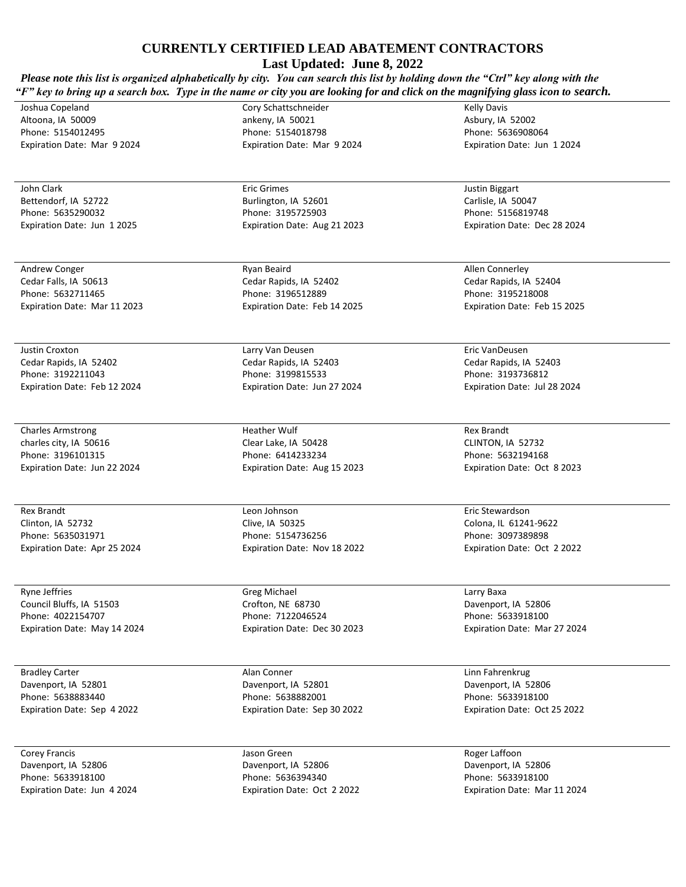**Last Updated: June 8, 2022**

*Please note this list is organized alphabetically by city. You can search this list by holding down the "Ctrl" key along with the "F" key to bring up a search box. Type in the name or city you are looking for and click on the magnifying glass icon to search.* 

Joshua Copeland Altoona, IA 50009 Phone: 5154012495 Expiration Date: Mar 9 2024

John Clark Bettendorf, IA 52722 Phone: 5635290032 Expiration Date: Jun 1 2025

Andrew Conger Cedar Falls, IA 50613 Phone: 5632711465 Expiration Date: Mar 11 2023

Justin Croxton Cedar Rapids, IA 52402 Phone: 3192211043 Expiration Date: Feb 12 2024

Charles Armstrong charles city, IA 50616 Phone: 3196101315 Expiration Date: Jun 22 2024

Rex Brandt Clinton, IA 52732 Phone: 5635031971 Expiration Date: Apr 25 2024

Ryne Jeffries Council Bluffs, IA 51503 Phone: 4022154707 Expiration Date: May 14 2024

Bradley Carter Davenport, IA 52801 Phone: 5638883440 Expiration Date: Sep 4 2022

Corey Francis Davenport, IA 52806 Phone: 5633918100 Expiration Date: Jun 4 2024 Cory Schattschneider ankeny, IA 50021 Phone: 5154018798 Expiration Date: Mar 9 2024

Eric Grimes Burlington, IA 52601 Phone: 3195725903 Expiration Date: Aug 21 2023

Ryan Beaird Cedar Rapids, IA 52402 Phone: 3196512889 Expiration Date: Feb 14 2025

Larry Van Deusen Cedar Rapids, IA 52403 Phone: 3199815533 Expiration Date: Jun 27 2024

Heather Wulf Clear Lake, IA 50428 Phone: 6414233234 Expiration Date: Aug 15 2023

Leon Johnson Clive, IA 50325 Phone: 5154736256 Expiration Date: Nov 18 2022

Greg Michael Crofton, NE 68730 Phone: 7122046524 Expiration Date: Dec 30 2023

Alan Conner Davenport, IA 52801 Phone: 5638882001 Expiration Date: Sep 30 2022

Jason Green Davenport, IA 52806 Phone: 5636394340 Expiration Date: Oct 2 2022 Kelly Davis Asbury, IA 52002 Phone: 5636908064 Expiration Date: Jun 1 2024

Justin Biggart Carlisle, IA 50047 Phone: 5156819748 Expiration Date: Dec 28 2024

Allen Connerley Cedar Rapids, IA 52404 Phone: 3195218008 Expiration Date: Feb 15 2025

Eric VanDeusen Cedar Rapids, IA 52403 Phone: 3193736812 Expiration Date: Jul 28 2024

Rex Brandt CLINTON, IA 52732 Phone: 5632194168 Expiration Date: Oct 8 2023

Eric Stewardson Colona, IL 61241-9622 Phone: 3097389898 Expiration Date: Oct 2 2022

Larry Baxa Davenport, IA 52806 Phone: 5633918100 Expiration Date: Mar 27 2024

Linn Fahrenkrug Davenport, IA 52806 Phone: 5633918100 Expiration Date: Oct 25 2022

Roger Laffoon Davenport, IA 52806 Phone: 5633918100 Expiration Date: Mar 11 2024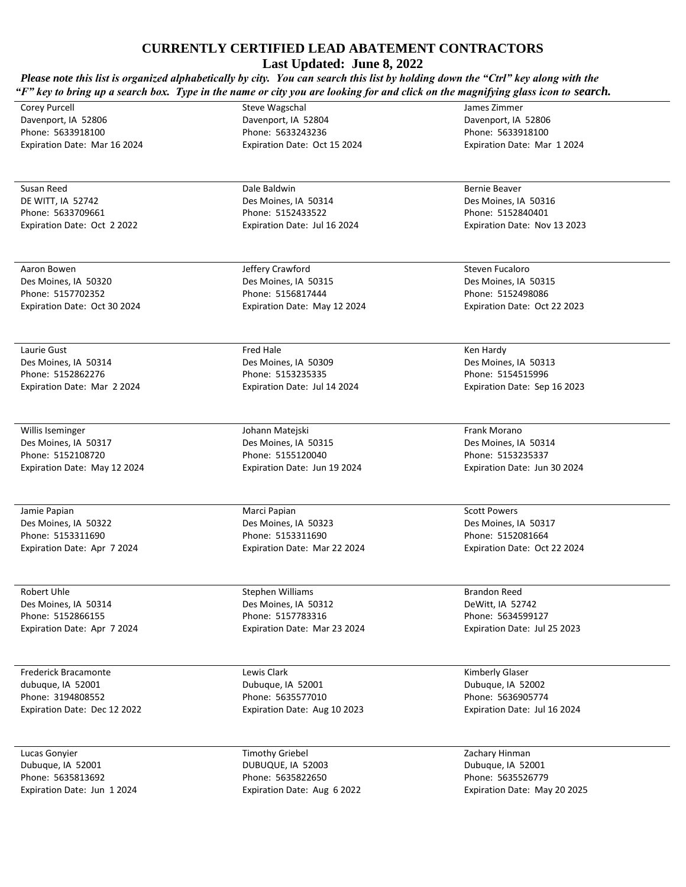**Last Updated: June 8, 2022**

*Please note this list is organized alphabetically by city. You can search this list by holding down the "Ctrl" key along with the "F"* key to bring up a search box. Type in the name or city you are looking for and click on the magnifying glass icon to search.

Corey Purcell Davenport, IA 52806 Phone: 5633918100 Expiration Date: Mar 16 2024

Susan Reed DE WITT, IA 52742 Phone: 5633709661 Expiration Date: Oct 2 2022

Aaron Bowen Des Moines, IA 50320 Phone: 5157702352 Expiration Date: Oct 30 2024

Laurie Gust Des Moines, IA 50314 Phone: 5152862276 Expiration Date: Mar 2 2024

Willis Iseminger Des Moines, IA 50317 Phone: 5152108720 Expiration Date: May 12 2024

Jamie Papian Des Moines, IA 50322 Phone: 5153311690 Expiration Date: Apr 7 2024

Robert Uhle Des Moines, IA 50314 Phone: 5152866155 Expiration Date: Apr 7 2024

Frederick Bracamonte dubuque, IA 52001 Phone: 3194808552 Expiration Date: Dec 12 2022

Lucas Gonyier Dubuque, IA 52001 Phone: 5635813692 Expiration Date: Jun 1 2024 Davenport, IA 52804 Phone: 5633243236 Expiration Date: Oct 15 2024

Steve Wagschal

Dale Baldwin Des Moines, IA 50314 Phone: 5152433522 Expiration Date: Jul 16 2024

Jeffery Crawford Des Moines, IA 50315 Phone: 5156817444 Expiration Date: May 12 2024

Fred Hale Des Moines, IA 50309 Phone: 5153235335 Expiration Date: Jul 14 2024

Johann Matejski Des Moines, IA 50315 Phone: 5155120040 Expiration Date: Jun 19 2024

Marci Papian Des Moines, IA 50323 Phone: 5153311690 Expiration Date: Mar 22 2024

Stephen Williams Des Moines, IA 50312 Phone: 5157783316 Expiration Date: Mar 23 2024

Lewis Clark Dubuque, IA 52001 Phone: 5635577010 Expiration Date: Aug 10 2023

Timothy Griebel DUBUQUE, IA 52003 Phone: 5635822650 Expiration Date: Aug 6 2022 James Zimmer Davenport, IA 52806 Phone: 5633918100 Expiration Date: Mar 1 2024

Bernie Beaver Des Moines, IA 50316 Phone: 5152840401 Expiration Date: Nov 13 2023

Steven Fucaloro Des Moines, IA 50315 Phone: 5152498086 Expiration Date: Oct 22 2023

Ken Hardy Des Moines, IA 50313 Phone: 5154515996 Expiration Date: Sep 16 2023

Frank Morano Des Moines, IA 50314 Phone: 5153235337 Expiration Date: Jun 30 2024

Scott Powers Des Moines, IA 50317 Phone: 5152081664 Expiration Date: Oct 22 2024

Brandon Reed DeWitt, IA 52742 Phone: 5634599127 Expiration Date: Jul 25 2023

Kimberly Glaser Dubuque, IA 52002 Phone: 5636905774 Expiration Date: Jul 16 2024

Zachary Hinman Dubuque, IA 52001 Phone: 5635526779 Expiration Date: May 20 2025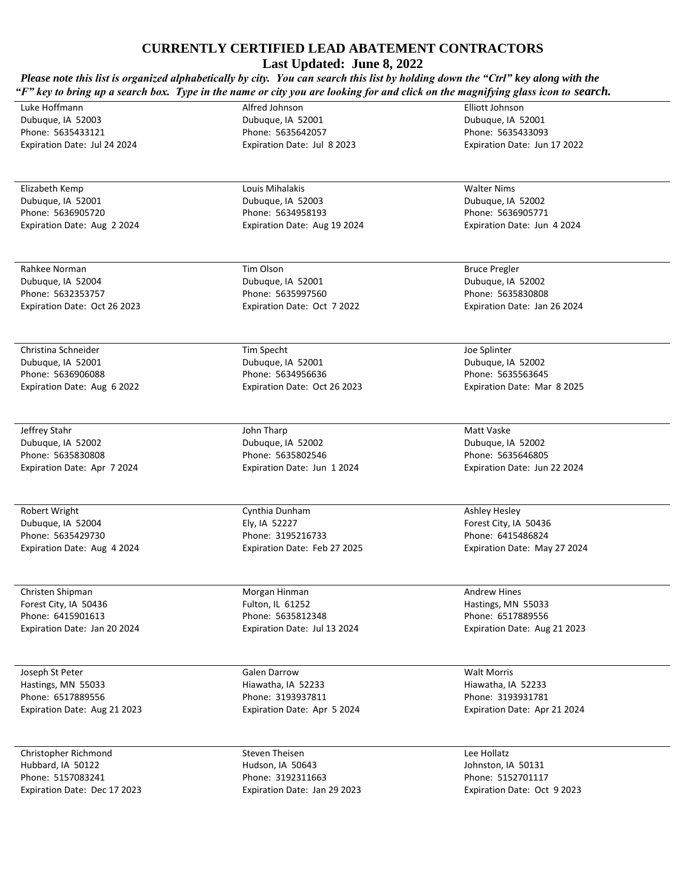**Last Updated: June 8, 2022**

| Please note this list is organized alphabetically by city. You can search this list by holding down the "Ctrl" key along with the<br>"F" key to bring up a search box. Type in the name or city you are looking for and click on the magnifying glass icon to search. |                                                          |                                                           |
|-----------------------------------------------------------------------------------------------------------------------------------------------------------------------------------------------------------------------------------------------------------------------|----------------------------------------------------------|-----------------------------------------------------------|
| Luke Hoffmann<br>Dubuque, IA 52003<br>Phone: 5635433121                                                                                                                                                                                                               | Alfred Johnson<br>Dubuque, IA 52001<br>Phone: 5635642057 | Elliott Johnson<br>Dubuque, IA 52001<br>Phone: 5635433093 |
| Expiration Date: Jul 24 2024                                                                                                                                                                                                                                          | Expiration Date: Jul 8 2023                              | Expiration Date: Jun 17 2022                              |
| Elizabeth Kemp                                                                                                                                                                                                                                                        | Louis Mihalakis                                          | <b>Walter Nims</b>                                        |
| Dubuque, IA 52001<br>Phone: 5636905720                                                                                                                                                                                                                                | Dubuque, IA 52003                                        | Dubuque, IA 52002                                         |
| Expiration Date: Aug 2 2024                                                                                                                                                                                                                                           | Phone: 5634958193<br>Expiration Date: Aug 19 2024        | Phone: 5636905771<br>Expiration Date: Jun 4 2024          |
| Rahkee Norman                                                                                                                                                                                                                                                         | Tim Olson                                                | <b>Bruce Pregler</b>                                      |
| Dubuque, IA 52004                                                                                                                                                                                                                                                     | Dubuque, IA 52001                                        | Dubuque, IA 52002                                         |
| Phone: 5632353757                                                                                                                                                                                                                                                     | Phone: 5635997560                                        | Phone: 5635830808                                         |
| Expiration Date: Oct 26 2023                                                                                                                                                                                                                                          | Expiration Date: Oct 7 2022                              | Expiration Date: Jan 26 2024                              |
| Christina Schneider                                                                                                                                                                                                                                                   | Tim Specht                                               | Joe Splinter                                              |
| Dubuque, IA 52001                                                                                                                                                                                                                                                     | Dubuque, IA 52001                                        | Dubuque, IA 52002                                         |
| Phone: 5636906088                                                                                                                                                                                                                                                     | Phone: 5634956636                                        | Phone: 5635563645                                         |
| Expiration Date: Aug 6 2022                                                                                                                                                                                                                                           | Expiration Date: Oct 26 2023                             | Expiration Date: Mar 8 2025                               |
| Jeffrey Stahr                                                                                                                                                                                                                                                         | John Tharp                                               | Matt Vaske                                                |
| Dubuque, IA 52002<br>Phone: 5635830808                                                                                                                                                                                                                                | Dubuque, IA 52002<br>Phone: 5635802546                   | Dubuque, IA 52002<br>Phone: 5635646805                    |
| Expiration Date: Apr 7 2024                                                                                                                                                                                                                                           | Expiration Date: Jun 12024                               | Expiration Date: Jun 22 2024                              |
| Robert Wright                                                                                                                                                                                                                                                         | Cynthia Dunham                                           | <b>Ashley Hesley</b>                                      |
| Dubuque, IA 52004                                                                                                                                                                                                                                                     | Ely, IA 52227                                            | Forest City, IA 50436                                     |
| Phone: 5635429730                                                                                                                                                                                                                                                     | Phone: 3195216733                                        | Phone: 6415486824                                         |
| Expiration Date: Aug 4 2024                                                                                                                                                                                                                                           | Expiration Date: Feb 27 2025                             | Expiration Date: May 27 2024                              |
| Christen Shipman<br>Forest City, IA 50436                                                                                                                                                                                                                             | Morgan Hinman<br>Fulton, IL 61252                        | <b>Andrew Hines</b>                                       |
| Phone: 6415901613                                                                                                                                                                                                                                                     | Phone: 5635812348                                        | Hastings, MN 55033<br>Phone: 6517889556                   |
| Expiration Date: Jan 20 2024                                                                                                                                                                                                                                          | Expiration Date: Jul 13 2024                             | Expiration Date: Aug 21 2023                              |
| Joseph St Peter                                                                                                                                                                                                                                                       | <b>Galen Darrow</b>                                      | <b>Walt Morris</b>                                        |
| Hastings, MN 55033                                                                                                                                                                                                                                                    | Hiawatha, IA 52233                                       | Hiawatha, IA 52233                                        |
| Phone: 6517889556                                                                                                                                                                                                                                                     | Phone: 3193937811                                        | Phone: 3193931781                                         |
| Expiration Date: Aug 21 2023                                                                                                                                                                                                                                          | Expiration Date: Apr 5 2024                              | Expiration Date: Apr 21 2024                              |
| Christopher Richmond                                                                                                                                                                                                                                                  | Steven Theisen                                           | Lee Hollatz                                               |
| Hubbard, IA 50122                                                                                                                                                                                                                                                     | Hudson, IA 50643                                         | Johnston, IA 50131                                        |
| Phone: 5157083241                                                                                                                                                                                                                                                     | Phone: 3192311663                                        | Phone: 5152701117                                         |

Expiration Date: Jan 29 2023

Expiration Date: Oct 9 2023

Expiration Date: Dec 17 2023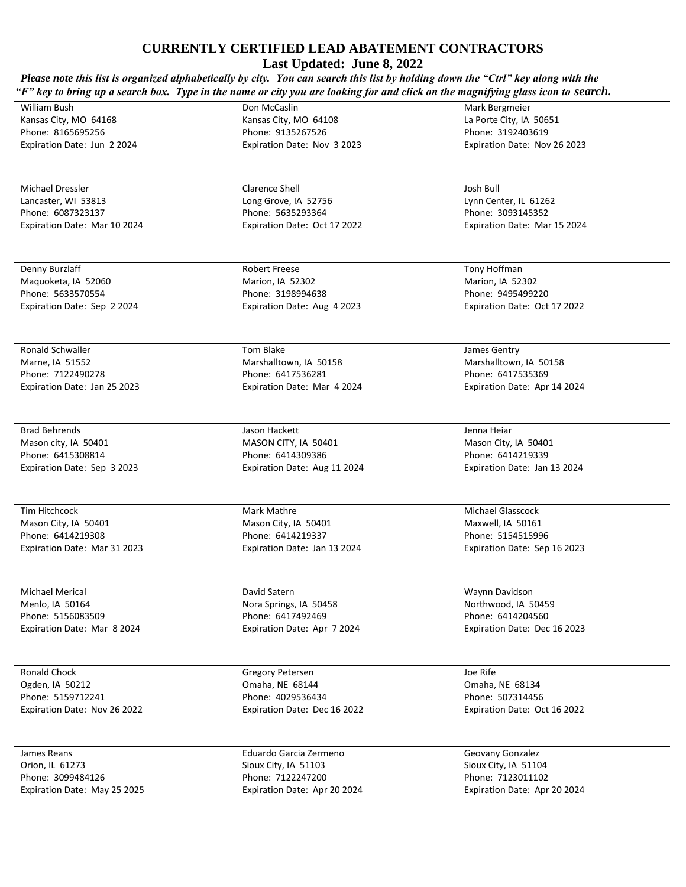**Last Updated: June 8, 2022**

*Please note this list is organized alphabetically by city. You can search this list by holding down the "Ctrl" key along with the "F"* key to bring up a search box. Type in the name or city you are looking for and click on the magnifying glass icon to search.

William Bush Kansas City, MO 64168 Phone: 8165695256 Expiration Date: Jun 2 2024

Michael Dressler Lancaster, WI 53813 Phone: 6087323137 Expiration Date: Mar 10 2024

Denny Burzlaff Maquoketa, IA 52060 Phone: 5633570554 Expiration Date: Sep 2 2024

Ronald Schwaller Marne, IA 51552 Phone: 7122490278 Expiration Date: Jan 25 2023

Brad Behrends Mason city, IA 50401 Phone: 6415308814 Expiration Date: Sep 3 2023

Tim Hitchcock Mason City, IA 50401 Phone: 6414219308 Expiration Date: Mar 31 2023

Michael Merical Menlo, IA 50164 Phone: 5156083509 Expiration Date: Mar 8 2024

Ronald Chock Ogden, IA 50212 Phone: 5159712241 Expiration Date: Nov 26 2022

James Reans Orion, IL 61273 Phone: 3099484126 Expiration Date: May 25 2025 Don McCaslin Kansas City, MO 64108 Phone: 9135267526 Expiration Date: Nov 3 2023

Clarence Shell Long Grove, IA 52756 Phone: 5635293364 Expiration Date: Oct 17 2022

Robert Freese Marion, IA 52302 Phone: 3198994638 Expiration Date: Aug 4 2023

Tom Blake Marshalltown, IA 50158 Phone: 6417536281 Expiration Date: Mar 4 2024

Jason Hackett MASON CITY, IA 50401 Phone: 6414309386 Expiration Date: Aug 11 2024

Mark Mathre Mason City, IA 50401 Phone: 6414219337 Expiration Date: Jan 13 2024

David Satern Nora Springs, IA 50458 Phone: 6417492469 Expiration Date: Apr 7 2024

Gregory Petersen Omaha, NE 68144 Phone: 4029536434 Expiration Date: Dec 16 2022

Eduardo Garcia Zermeno Sioux City, IA 51103 Phone: 7122247200 Expiration Date: Apr 20 2024 Mark Bergmeier La Porte City, IA 50651 Phone: 3192403619 Expiration Date: Nov 26 2023

Josh Bull Lynn Center, IL 61262 Phone: 3093145352 Expiration Date: Mar 15 2024

Tony Hoffman Marion, IA 52302 Phone: 9495499220 Expiration Date: Oct 17 2022

James Gentry Marshalltown, IA 50158 Phone: 6417535369 Expiration Date: Apr 14 2024

Jenna Heiar Mason City, IA 50401 Phone: 6414219339 Expiration Date: Jan 13 2024

Michael Glasscock Maxwell, IA 50161 Phone: 5154515996 Expiration Date: Sep 16 2023

Waynn Davidson Northwood, IA 50459 Phone: 6414204560 Expiration Date: Dec 16 2023

Joe Rife Omaha, NE 68134 Phone: 507314456 Expiration Date: Oct 16 2022

Geovany Gonzalez Sioux City, IA 51104 Phone: 7123011102 Expiration Date: Apr 20 2024